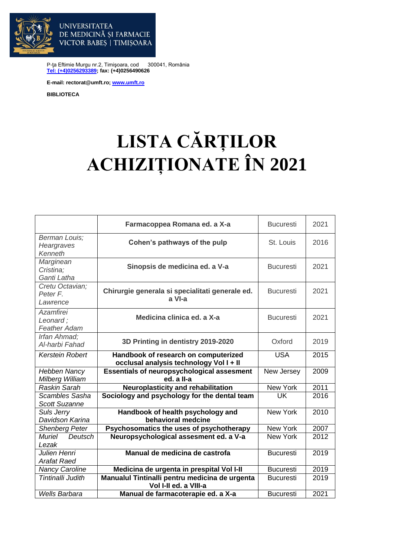

P-ţa Eftimie Murgu nr.2, Timişoara, cod 300041, România **[Tel: \(+4\)0256293389;](tel:(40)0256293389) fax: (+4)0256490626**

**E-mail: rectorat@umft.ro; [www.umft.ro](http://www.umft.ro/)**

DE MEDICINĂ ȘI FARMACIE VICTOR BABES | TIMIȘOARA

**UNIVERSITATEA** 

**BIBLIOTECA**

## **LISTA CĂRȚILOR ACHIZIȚIONATE ÎN 2021**

|                                                     | Farmacoppea Romana ed. a X-a                                                    | <b>Bucuresti</b> | 2021 |
|-----------------------------------------------------|---------------------------------------------------------------------------------|------------------|------|
| Berman Louis;<br>Heargraves<br>Kenneth              | Cohen's pathways of the pulp                                                    | St. Louis        | 2016 |
| Marginean<br>Cristina:<br>Ganti Latha               | Sinopsis de medicina ed. a V-a                                                  | <b>Bucuresti</b> | 2021 |
| Cretu Octavian;<br>Peter F.<br>Lawrence             | Chirurgie generala si specialitati generale ed.<br>a VI-a                       | <b>Bucuresti</b> | 2021 |
| <b>Azamfirei</b><br>Leonard;<br><b>Feather Adam</b> | Medicina clinica ed. a X-a                                                      | <b>Bucuresti</b> | 2021 |
| Irfan Ahmad;<br>Al-harbi Fahad                      | 3D Printing in dentistry 2019-2020                                              | Oxford           | 2019 |
| Kerstein Robert                                     | Handbook of research on computerized<br>occlusal analysis technology Vol I + II | <b>USA</b>       | 2015 |
| <b>Hebben Nancy</b><br>Milberg William              | <b>Essentials of neuropsychological assesment</b><br>ed. a II-a                 | New Jersey       | 2009 |
| Raskin Sarah                                        | <b>Neuroplasticity and rehabilitation</b>                                       | New York         | 2011 |
| Scambles Sasha<br><b>Scott Suzanne</b>              | Sociology and psychology for the dental team                                    | UK               | 2016 |
| Suls Jerry<br>Davidson Karina                       | Handbook of health psychology and<br>behavioral medcine                         | New York         | 2010 |
| <b>Shenberg Peter</b>                               | Psychosomatics the uses of psychotherapy                                        | New York         | 2007 |
| <b>Muriel</b><br>Deutsch<br>Lezak                   | Neuropsychological assesment ed. a V-a                                          | <b>New York</b>  | 2012 |
| Julien Henri<br>Arafat Raed                         | Manual de medicina de castrofa                                                  | <b>Bucuresti</b> | 2019 |
| <b>Nancy Caroline</b>                               | Medicina de urgenta in prespital Vol I-II                                       | <b>Bucuresti</b> | 2019 |
| Tintinalli Judith                                   | Manualul Tintinalli pentru medicina de urgenta<br>Vol I-II ed. a VIII-a         | <b>Bucuresti</b> | 2019 |
| <b>Wells Barbara</b>                                | Manual de farmacoterapie ed. a X-a                                              | <b>Bucuresti</b> | 2021 |